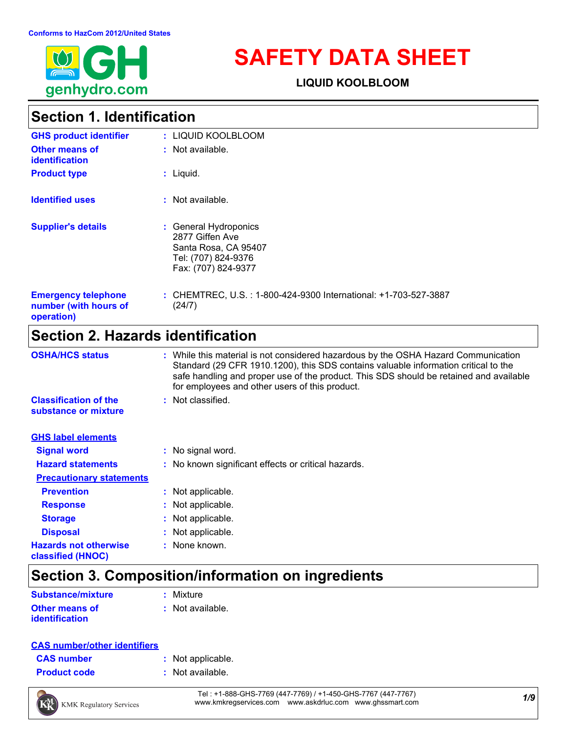

# **SAFETY DATA SHEET**

**LIQUID KOOLBLOOM**

### **Section 1. Identification**

| <b>GHS product identifier</b>                                     | : LIQUID KOOLBLOOM                                                                                             |
|-------------------------------------------------------------------|----------------------------------------------------------------------------------------------------------------|
| <b>Other means of</b><br><b>identification</b>                    | : Not available.                                                                                               |
| <b>Product type</b>                                               | $:$ Liquid.                                                                                                    |
| <b>Identified uses</b>                                            | $:$ Not available.                                                                                             |
| <b>Supplier's details</b>                                         | : General Hydroponics<br>2877 Giffen Ave<br>Santa Rosa, CA 95407<br>Tel: (707) 824-9376<br>Fax: (707) 824-9377 |
| <b>Emergency telephone</b><br>number (with hours of<br>operation) | : CHEMTREC, U.S.: 1-800-424-9300 International: +1-703-527-3887<br>(24/7)                                      |

### **Section 2. Hazards identification**

| <b>OSHA/HCS status</b>                               | : While this material is not considered hazardous by the OSHA Hazard Communication<br>Standard (29 CFR 1910.1200), this SDS contains valuable information critical to the<br>safe handling and proper use of the product. This SDS should be retained and available<br>for employees and other users of this product. |
|------------------------------------------------------|-----------------------------------------------------------------------------------------------------------------------------------------------------------------------------------------------------------------------------------------------------------------------------------------------------------------------|
| <b>Classification of the</b><br>substance or mixture | : Not classified.                                                                                                                                                                                                                                                                                                     |
| <b>GHS label elements</b>                            |                                                                                                                                                                                                                                                                                                                       |
| <b>Signal word</b>                                   | : No signal word.                                                                                                                                                                                                                                                                                                     |
| <b>Hazard statements</b>                             | : No known significant effects or critical hazards.                                                                                                                                                                                                                                                                   |
| <b>Precautionary statements</b>                      |                                                                                                                                                                                                                                                                                                                       |
| <b>Prevention</b>                                    | : Not applicable.                                                                                                                                                                                                                                                                                                     |
| <b>Response</b>                                      | : Not applicable.                                                                                                                                                                                                                                                                                                     |
| <b>Storage</b>                                       | : Not applicable.                                                                                                                                                                                                                                                                                                     |
| <b>Disposal</b>                                      | : Not applicable.                                                                                                                                                                                                                                                                                                     |
| <b>Hazards not otherwise</b><br>classified (HNOC)    | : None known.                                                                                                                                                                                                                                                                                                         |

### **Section 3. Composition/information on ingredients**

| <b>Substance/mixture</b> | : Mixture        |
|--------------------------|------------------|
| <b>Other means of</b>    | : Not available. |
| <i>identification</i>    |                  |

#### **CAS number/other identifiers**

| <b>CAS number</b> |  |  |
|-------------------|--|--|
|-------------------|--|--|

- **:** Not applicable.
- **Product code :** Not available.

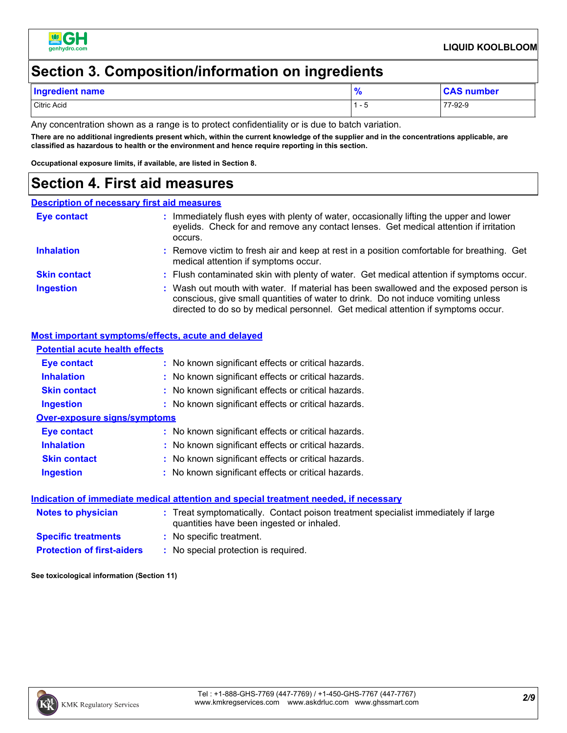

### **Section 3. Composition/information on ingredients**

| <b>Ingredient name</b> | - 0<br>70 | <b>CAS number</b> |
|------------------------|-----------|-------------------|
| <b>Citric Acid</b>     | . – L     | 77-92-9           |

Any concentration shown as a range is to protect confidentiality or is due to batch variation.

**There are no additional ingredients present which, within the current knowledge of the supplier and in the concentrations applicable, are classified as hazardous to health or the environment and hence require reporting in this section.**

**Occupational exposure limits, if available, are listed in Section 8.**

### **Section 4. First aid measures**

#### **Description of necessary first aid measures**

| <b>Eye contact</b>  | Immediately flush eyes with plenty of water, occasionally lifting the upper and lower<br>eyelids. Check for and remove any contact lenses. Get medical attention if irritation<br>occurs.                                                                      |
|---------------------|----------------------------------------------------------------------------------------------------------------------------------------------------------------------------------------------------------------------------------------------------------------|
| <b>Inhalation</b>   | : Remove victim to fresh air and keep at rest in a position comfortable for breathing. Get<br>medical attention if symptoms occur.                                                                                                                             |
| <b>Skin contact</b> | : Flush contaminated skin with plenty of water. Get medical attention if symptoms occur.                                                                                                                                                                       |
| <b>Ingestion</b>    | : Wash out mouth with water. If material has been swallowed and the exposed person is<br>conscious, give small quantities of water to drink. Do not induce vomiting unless<br>directed to do so by medical personnel. Get medical attention if symptoms occur. |

#### **Most important symptoms/effects, acute and delayed**

| <b>Potential acute health effects</b> |                                                                                                                                |
|---------------------------------------|--------------------------------------------------------------------------------------------------------------------------------|
| Eye contact                           | : No known significant effects or critical hazards.                                                                            |
| <b>Inhalation</b>                     | : No known significant effects or critical hazards.                                                                            |
| <b>Skin contact</b>                   | : No known significant effects or critical hazards.                                                                            |
| <b>Ingestion</b>                      | : No known significant effects or critical hazards.                                                                            |
| Over-exposure signs/symptoms          |                                                                                                                                |
| Eye contact                           | : No known significant effects or critical hazards.                                                                            |
| <b>Inhalation</b>                     | : No known significant effects or critical hazards.                                                                            |
| <b>Skin contact</b>                   | : No known significant effects or critical hazards.                                                                            |
| <b>Ingestion</b>                      | : No known significant effects or critical hazards.                                                                            |
|                                       | <u>Indication of immediate medical attention and special treatment needed, if necessary</u>                                    |
| Notes to physician                    | : Treat symptomatically. Contact poison treatment specialist immediately if large<br>quantities have been ingested or inhaled. |
| <b>Specific treatments</b>            | : No specific treatment.                                                                                                       |
| <b>Protection of first-aiders</b>     | : No special protection is required.                                                                                           |

**See toxicological information (Section 11)**

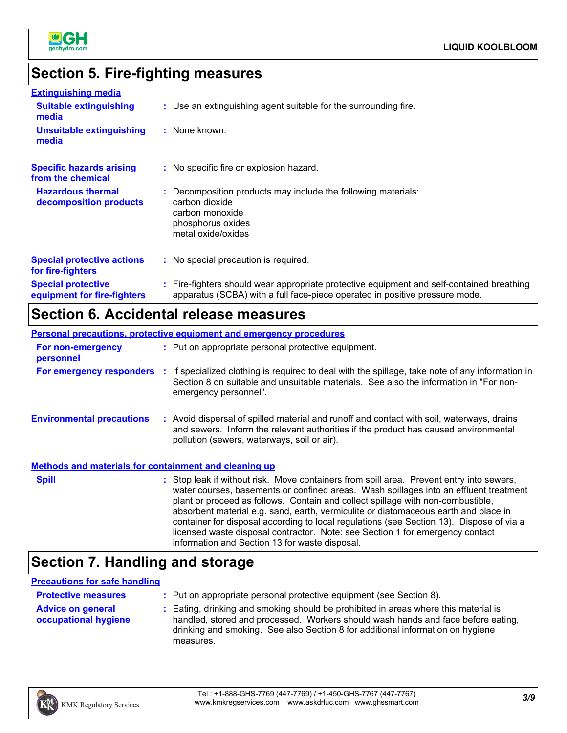

## **Section 5. Fire-fighting measures**

| <b>Extinguishing media</b>                               |                                                                                                                                                                          |
|----------------------------------------------------------|--------------------------------------------------------------------------------------------------------------------------------------------------------------------------|
| <b>Suitable extinguishing</b><br>media                   | : Use an extinguishing agent suitable for the surrounding fire.                                                                                                          |
| <b>Unsuitable extinguishing</b><br>media                 | : None known.                                                                                                                                                            |
| <b>Specific hazards arising</b><br>from the chemical     | : No specific fire or explosion hazard.                                                                                                                                  |
| <b>Hazardous thermal</b><br>decomposition products       | : Decomposition products may include the following materials:<br>carbon dioxide<br>carbon monoxide<br>phosphorus oxides<br>metal oxide/oxides                            |
| <b>Special protective actions</b><br>for fire-fighters   | : No special precaution is required.                                                                                                                                     |
| <b>Special protective</b><br>equipment for fire-fighters | : Fire-fighters should wear appropriate protective equipment and self-contained breathing<br>apparatus (SCBA) with a full face-piece operated in positive pressure mode. |

### **Section 6. Accidental release measures**

|                                                              | Personal precautions, protective equipment and emergency procedures                                                                                                                                                                                                                                                                                                                                                                                                                                                                      |  |
|--------------------------------------------------------------|------------------------------------------------------------------------------------------------------------------------------------------------------------------------------------------------------------------------------------------------------------------------------------------------------------------------------------------------------------------------------------------------------------------------------------------------------------------------------------------------------------------------------------------|--|
| For non-emergency<br>personnel                               | : Put on appropriate personal protective equipment.                                                                                                                                                                                                                                                                                                                                                                                                                                                                                      |  |
|                                                              | For emergency responders : If specialized clothing is required to deal with the spillage, take note of any information in<br>Section 8 on suitable and unsuitable materials. See also the information in "For non-<br>emergency personnel".                                                                                                                                                                                                                                                                                              |  |
| <b>Environmental precautions</b>                             | : Avoid dispersal of spilled material and runoff and contact with soil, waterways, drains<br>and sewers. Inform the relevant authorities if the product has caused environmental<br>pollution (sewers, waterways, soil or air).                                                                                                                                                                                                                                                                                                          |  |
| <b>Methods and materials for containment and cleaning up</b> |                                                                                                                                                                                                                                                                                                                                                                                                                                                                                                                                          |  |
| <b>Spill</b>                                                 | : Stop leak if without risk. Move containers from spill area. Prevent entry into sewers,<br>water courses, basements or confined areas. Wash spillages into an effluent treatment<br>plant or proceed as follows. Contain and collect spillage with non-combustible,<br>absorbent material e.g. sand, earth, vermiculite or diatomaceous earth and place in<br>container for disposal according to local regulations (see Section 13). Dispose of via a<br>licensed waste disposal contractor. Note: see Section 1 for emergency contact |  |

### **Section 7. Handling and storage**

### **Precautions for safe handling**

| <b>Protective measures</b>                       | : Put on appropriate personal protective equipment (see Section 8).                                                                                                                                                                                                    |
|--------------------------------------------------|------------------------------------------------------------------------------------------------------------------------------------------------------------------------------------------------------------------------------------------------------------------------|
| <b>Advice on general</b><br>occupational hygiene | : Eating, drinking and smoking should be prohibited in areas where this material is<br>handled, stored and processed. Workers should wash hands and face before eating,<br>drinking and smoking. See also Section 8 for additional information on hygiene<br>measures. |

information and Section 13 for waste disposal.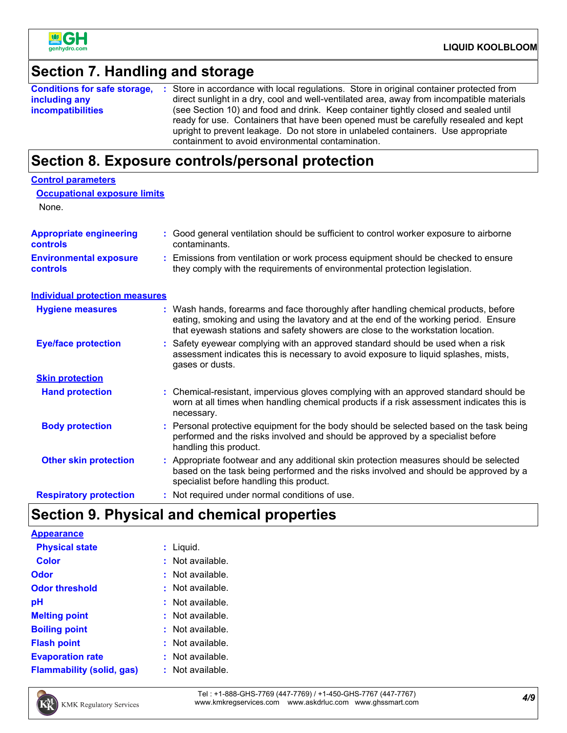

### **Section 7. Handling and storage**

|                          | <b>Conditions for safe storage, :</b> Store in accordance with local regulations. Store in original container protected from                                                                                                                                                                                         |
|--------------------------|----------------------------------------------------------------------------------------------------------------------------------------------------------------------------------------------------------------------------------------------------------------------------------------------------------------------|
| including any            | direct sunlight in a dry, cool and well-ventilated area, away from incompatible materials                                                                                                                                                                                                                            |
| <i>incompatibilities</i> | (see Section 10) and food and drink. Keep container tightly closed and sealed until<br>ready for use. Containers that have been opened must be carefully resealed and kept<br>upright to prevent leakage. Do not store in unlabeled containers. Use appropriate<br>containment to avoid environmental contamination. |

### **Section 8. Exposure controls/personal protection**

| <b>Control parameters</b>                  |                                                                                                                                                                                                                                                               |
|--------------------------------------------|---------------------------------------------------------------------------------------------------------------------------------------------------------------------------------------------------------------------------------------------------------------|
| <b>Occupational exposure limits</b>        |                                                                                                                                                                                                                                                               |
| None.                                      |                                                                                                                                                                                                                                                               |
| <b>Appropriate engineering</b><br>controls | : Good general ventilation should be sufficient to control worker exposure to airborne<br>contaminants.                                                                                                                                                       |
| <b>Environmental exposure</b><br>controls  | : Emissions from ventilation or work process equipment should be checked to ensure<br>they comply with the requirements of environmental protection legislation.                                                                                              |
| <b>Individual protection measures</b>      |                                                                                                                                                                                                                                                               |
| <b>Hygiene measures</b>                    | : Wash hands, forearms and face thoroughly after handling chemical products, before<br>eating, smoking and using the lavatory and at the end of the working period. Ensure<br>that eyewash stations and safety showers are close to the workstation location. |
| <b>Eye/face protection</b>                 | : Safety eyewear complying with an approved standard should be used when a risk<br>assessment indicates this is necessary to avoid exposure to liquid splashes, mists,<br>gases or dusts.                                                                     |
| <b>Skin protection</b>                     |                                                                                                                                                                                                                                                               |
| <b>Hand protection</b>                     | : Chemical-resistant, impervious gloves complying with an approved standard should be<br>worn at all times when handling chemical products if a risk assessment indicates this is<br>necessary.                                                               |
| <b>Body protection</b>                     | : Personal protective equipment for the body should be selected based on the task being<br>performed and the risks involved and should be approved by a specialist before<br>handling this product.                                                           |
| <b>Other skin protection</b>               | : Appropriate footwear and any additional skin protection measures should be selected<br>based on the task being performed and the risks involved and should be approved by a<br>specialist before handling this product.                                     |
| <b>Respiratory protection</b>              | : Not required under normal conditions of use.                                                                                                                                                                                                                |
|                                            |                                                                                                                                                                                                                                                               |

### **Section 9. Physical and chemical properties**

| <b>Appearance</b>                |                |
|----------------------------------|----------------|
| <b>Physical state</b>            | : Liquid.      |
| <b>Color</b>                     | Not available. |
| Odor                             | Not available. |
| <b>Odor threshold</b>            | Not available. |
| рH                               | Not available. |
| <b>Melting point</b>             | Not available. |
| <b>Boiling point</b>             | Not available. |
| <b>Flash point</b>               | Not available. |
| <b>Evaporation rate</b>          | Not available. |
| <b>Flammability (solid, gas)</b> | Not available. |

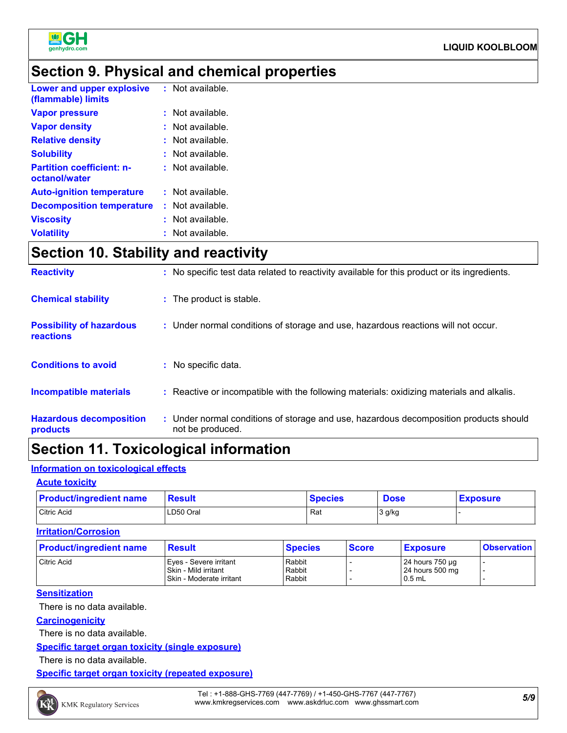

### **Section 9. Physical and chemical properties**

| Lower and upper explosive<br>(flammable) limits   | $:$ Not available.   |
|---------------------------------------------------|----------------------|
| <b>Vapor pressure</b>                             | $:$ Not available.   |
| <b>Vapor density</b>                              | Not available.<br>÷. |
| <b>Relative density</b>                           | Not available.       |
| <b>Solubility</b>                                 | $:$ Not available.   |
| <b>Partition coefficient: n-</b><br>octanol/water | : Not available.     |
| <b>Auto-ignition temperature</b>                  | $:$ Not available.   |
| <b>Decomposition temperature</b>                  | $:$ Not available.   |
| <b>Viscosity</b>                                  | Not available.       |
| <b>Volatility</b>                                 | Not available.       |

### **Section 10. Stability and reactivity**

| <b>Reactivity</b>                                   | : No specific test data related to reactivity available for this product or its ingredients.              |
|-----------------------------------------------------|-----------------------------------------------------------------------------------------------------------|
| <b>Chemical stability</b>                           | : The product is stable.                                                                                  |
| <b>Possibility of hazardous</b><br><b>reactions</b> | : Under normal conditions of storage and use, hazardous reactions will not occur.                         |
| <b>Conditions to avoid</b>                          | : No specific data.                                                                                       |
| <b>Incompatible materials</b>                       | : Reactive or incompatible with the following materials: oxidizing materials and alkalis.                 |
| <b>Hazardous decomposition</b><br>products          | : Under normal conditions of storage and use, hazardous decomposition products should<br>not be produced. |

### **Section 11. Toxicological information**

#### **Information on toxicological effects**

#### **Acute toxicity**

| <b>Product/ingredient name</b> | <b>Result</b> | <b>Species</b> | <b>Dose</b> | <b>Exposure</b> |
|--------------------------------|---------------|----------------|-------------|-----------------|
| Citric Acid                    | LD50 Oral     | Rat            | 3 g/kg      |                 |

#### **Irritation/Corrosion**

| <b>Product/ingredient name</b> | <b>Result</b>                                                              | <b>Species</b>             | <b>Score</b> | <b>Exposure</b>                                | <b>Observation</b> |
|--------------------------------|----------------------------------------------------------------------------|----------------------------|--------------|------------------------------------------------|--------------------|
| Citric Acid                    | Eves - Severe irritant<br>Skin - Mild irritant<br>Skin - Moderate irritant | Rabbit<br>Rabbit<br>Rabbit |              | 24 hours 750 µg<br>24 hours 500 mg<br>$0.5$ mL |                    |

#### **Sensitization**

There is no data available.

#### **Carcinogenicity**

There is no data available.

#### **Specific target organ toxicity (single exposure)**

There is no data available.

**Specific target organ toxicity (repeated exposure)**

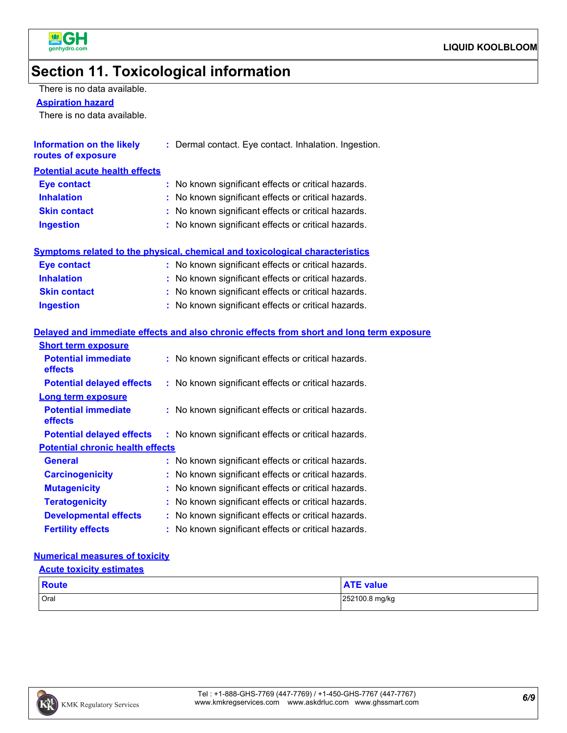

### **Section 11. Toxicological information**

There is no data available.

**Aspiration hazard**

There is no data available.

| Information on the likely<br>routes of exposure | : Dermal contact. Eye contact. Inhalation. Ingestion. |
|-------------------------------------------------|-------------------------------------------------------|
| <b>Potential acute health effects</b>           |                                                       |
| <b>Eye contact</b>                              | : No known significant effects or critical hazards.   |
| <b>Inhalation</b>                               | : No known significant effects or critical hazards.   |
| <b>Skin contact</b>                             | : No known significant effects or critical hazards.   |
| <b>Ingestion</b>                                | : No known significant effects or critical hazards.   |
|                                                 |                                                       |

#### **Symptoms related to the physical, chemical and toxicological characteristics**

| <b>Eve contact</b>  | : No known significant effects or critical hazards. |
|---------------------|-----------------------------------------------------|
| <b>Inhalation</b>   | : No known significant effects or critical hazards. |
| <b>Skin contact</b> | : No known significant effects or critical hazards. |
| <b>Ingestion</b>    | : No known significant effects or critical hazards. |

#### **Delayed and immediate effects and also chronic effects from short and long term exposure**

| <b>Short term exposure</b>              |                                                     |
|-----------------------------------------|-----------------------------------------------------|
| <b>Potential immediate</b><br>effects   | : No known significant effects or critical hazards. |
| <b>Potential delayed effects</b>        | : No known significant effects or critical hazards. |
| <b>Long term exposure</b>               |                                                     |
| <b>Potential immediate</b><br>effects   | : No known significant effects or critical hazards. |
| <b>Potential delayed effects</b>        | : No known significant effects or critical hazards. |
| <b>Potential chronic health effects</b> |                                                     |
| <b>General</b>                          | : No known significant effects or critical hazards. |
| <b>Carcinogenicity</b>                  | : No known significant effects or critical hazards. |
| <b>Mutagenicity</b>                     | : No known significant effects or critical hazards. |
| <b>Teratogenicity</b>                   | : No known significant effects or critical hazards. |
| <b>Developmental effects</b>            | : No known significant effects or critical hazards. |
| <b>Fertility effects</b>                | : No known significant effects or critical hazards. |

#### **Numerical measures of toxicity**

#### **Acute toxicity estimates**

| Route | <b>ATE value</b> |
|-------|------------------|
| Oral  | 252100.8 mg/kg   |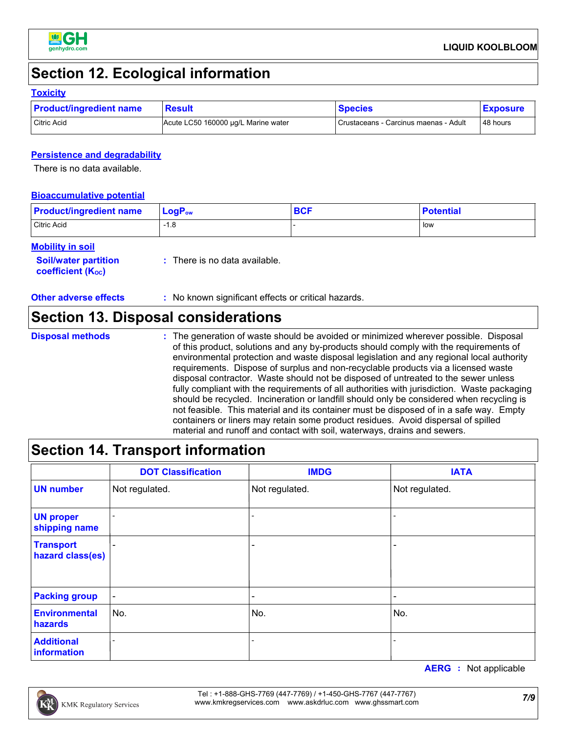

### **Section 12. Ecological information**

#### **Toxicity**

| <b>Product/ingredient name</b> | <b>Result</b>                       | <b>Species</b>                        | <b>Exposure</b> |
|--------------------------------|-------------------------------------|---------------------------------------|-----------------|
| Citric Acid                    | Acute LC50 160000 ug/L Marine water | Crustaceans - Carcinus maenas - Adult | 48 hours        |

#### **Persistence and degradability**

There is no data available.

#### **Bioaccumulative potential**

| <b>Product/ingredient name</b> | <b>LogP</b> <sub>ow</sub> | <b>BCF</b> | <b>Potential</b> |
|--------------------------------|---------------------------|------------|------------------|
| Citric Acid                    | $-1.8$                    |            | low              |

#### **Mobility in soil**

| coefficient (K <sub>oc</sub> ) | <b>Soil/water partition</b> | : There is no data available. |
|--------------------------------|-----------------------------|-------------------------------|
|--------------------------------|-----------------------------|-------------------------------|

**Other adverse effects** : No known significant effects or critical hazards.

### **Section 13. Disposal considerations**

**Disposal methods :**

The generation of waste should be avoided or minimized wherever possible. Disposal of this product, solutions and any by-products should comply with the requirements of environmental protection and waste disposal legislation and any regional local authority requirements. Dispose of surplus and non-recyclable products via a licensed waste disposal contractor. Waste should not be disposed of untreated to the sewer unless fully compliant with the requirements of all authorities with jurisdiction. Waste packaging should be recycled. Incineration or landfill should only be considered when recycling is not feasible. This material and its container must be disposed of in a safe way. Empty containers or liners may retain some product residues. Avoid dispersal of spilled material and runoff and contact with soil, waterways, drains and sewers.

### **Section 14. Transport information**

|                                      | <b>DOT Classification</b> | <b>IMDG</b>              | <b>IATA</b>    |
|--------------------------------------|---------------------------|--------------------------|----------------|
| <b>UN number</b>                     | Not regulated.            | Not regulated.           | Not regulated. |
| <b>UN proper</b><br>shipping name    |                           |                          |                |
| <b>Transport</b><br>hazard class(es) |                           | $\qquad \qquad$          |                |
| <b>Packing group</b>                 | $\overline{\phantom{a}}$  | $\overline{\phantom{0}}$ |                |
| <b>Environmental</b><br>hazards      | No.                       | No.                      | No.            |
| <b>Additional</b><br>information     |                           |                          |                |

**AERG :** Not applicable

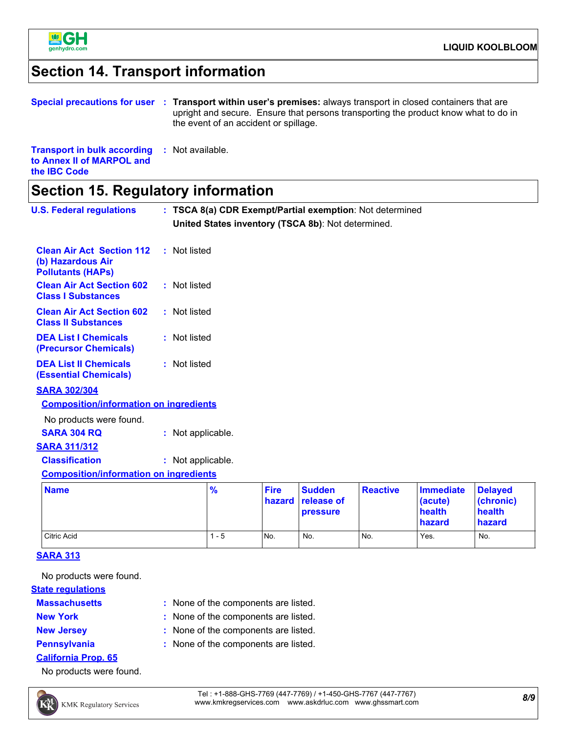

### **Section 14. Transport information**

|                                                                                                         | Special precautions for user : Transport within user's premises: always transport in closed containers that are<br>upright and secure. Ensure that persons transporting the product know what to do in<br>the event of an accident or spillage. |
|---------------------------------------------------------------------------------------------------------|-------------------------------------------------------------------------------------------------------------------------------------------------------------------------------------------------------------------------------------------------|
| <b>Transport in bulk according : Not available.</b><br>to Annex II of MARPOL and<br>the <b>IBC</b> Code |                                                                                                                                                                                                                                                 |
|                                                                                                         |                                                                                                                                                                                                                                                 |

### **Section 15. Regulatory information**

| <b>U.S. Federal regulations</b>                                                   | : TSCA 8(a) CDR Exempt/Partial exemption: Not determined<br>United States inventory (TSCA 8b): Not determined. |                       |                                         |                 |                                                 |                                                 |
|-----------------------------------------------------------------------------------|----------------------------------------------------------------------------------------------------------------|-----------------------|-----------------------------------------|-----------------|-------------------------------------------------|-------------------------------------------------|
| <b>Clean Air Act Section 112</b><br>(b) Hazardous Air<br><b>Pollutants (HAPs)</b> | : Not listed                                                                                                   |                       |                                         |                 |                                                 |                                                 |
| <b>Clean Air Act Section 602</b><br><b>Class I Substances</b>                     | : Not listed                                                                                                   |                       |                                         |                 |                                                 |                                                 |
| <b>Clean Air Act Section 602</b><br><b>Class II Substances</b>                    | : Not listed                                                                                                   |                       |                                         |                 |                                                 |                                                 |
| <b>DEA List I Chemicals</b><br>(Precursor Chemicals)                              | : Not listed                                                                                                   |                       |                                         |                 |                                                 |                                                 |
| <b>DEA List II Chemicals</b><br><b>(Essential Chemicals)</b>                      | : Not listed                                                                                                   |                       |                                         |                 |                                                 |                                                 |
| <b>SARA 302/304</b><br><b>Composition/information on ingredients</b>              |                                                                                                                |                       |                                         |                 |                                                 |                                                 |
| No products were found.                                                           |                                                                                                                |                       |                                         |                 |                                                 |                                                 |
| <b>SARA 304 RQ</b>                                                                | : Not applicable.                                                                                              |                       |                                         |                 |                                                 |                                                 |
| <b>SARA 311/312</b>                                                               |                                                                                                                |                       |                                         |                 |                                                 |                                                 |
| <b>Classification</b>                                                             | : Not applicable.                                                                                              |                       |                                         |                 |                                                 |                                                 |
| <b>Composition/information on ingredients</b>                                     |                                                                                                                |                       |                                         |                 |                                                 |                                                 |
| <b>Name</b>                                                                       | $\frac{9}{6}$                                                                                                  | <b>Fire</b><br>hazard | <b>Sudden</b><br>release of<br>pressure | <b>Reactive</b> | <b>Immediate</b><br>(acute)<br>health<br>hazard | <b>Delayed</b><br>(chronic)<br>health<br>hazard |

#### **SARA 313**

No products were found.

#### **State regulations**

- **Massachusetts**
- 
- 
- 
- **New York :** None of the components are listed.

None of the components are listed. **:**

Citric Acid 1 - 5 No. No. No. Yes. No.

- **New Jersey :** None of the components are listed.
- **Pennsylvania :** None of the components are listed.
- **California Prop. 65**
- No products were found.